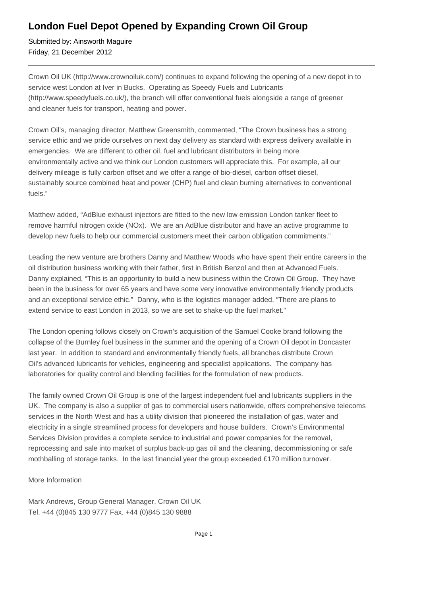## **London Fuel Depot Opened by Expanding Crown Oil Group**

Submitted by: Ainsworth Maguire Friday, 21 December 2012

Crown Oil UK (http://www.crownoiluk.com/) continues to expand following the opening of a new depot in to service west London at Iver in Bucks. Operating as Speedy Fuels and Lubricants (http://www.speedyfuels.co.uk/), the branch will offer conventional fuels alongside a range of greener and cleaner fuels for transport, heating and power.

Crown Oil's, managing director, Matthew Greensmith, commented, "The Crown business has a strong service ethic and we pride ourselves on next day delivery as standard with express delivery available in emergencies. We are different to other oil, fuel and lubricant distributors in being more environmentally active and we think our London customers will appreciate this. For example, all our delivery mileage is fully carbon offset and we offer a range of bio-diesel, carbon offset diesel, sustainably source combined heat and power (CHP) fuel and clean burning alternatives to conventional fuels."

Matthew added, "AdBlue exhaust injectors are fitted to the new low emission London tanker fleet to remove harmful nitrogen oxide (NOx). We are an AdBlue distributor and have an active programme to develop new fuels to help our commercial customers meet their carbon obligation commitments."

Leading the new venture are brothers Danny and Matthew Woods who have spent their entire careers in the oil distribution business working with their father, first in British Benzol and then at Advanced Fuels. Danny explained, "This is an opportunity to build a new business within the Crown Oil Group. They have been in the business for over 65 years and have some very innovative environmentally friendly products and an exceptional service ethic." Danny, who is the logistics manager added, "There are plans to extend service to east London in 2013, so we are set to shake-up the fuel market."

The London opening follows closely on Crown's acquisition of the Samuel Cooke brand following the collapse of the Burnley fuel business in the summer and the opening of a Crown Oil depot in Doncaster last year. In addition to standard and environmentally friendly fuels, all branches distribute Crown Oil's advanced lubricants for vehicles, engineering and specialist applications. The company has laboratories for quality control and blending facilities for the formulation of new products.

The family owned Crown Oil Group is one of the largest independent fuel and lubricants suppliers in the UK. The company is also a supplier of gas to commercial users nationwide, offers comprehensive telecoms services in the North West and has a utility division that pioneered the installation of gas, water and electricity in a single streamlined process for developers and house builders. Crown's Environmental Services Division provides a complete service to industrial and power companies for the removal, reprocessing and sale into market of surplus back-up gas oil and the cleaning, decommissioning or safe mothballing of storage tanks. In the last financial year the group exceeded £170 million turnover.

## More Information

Mark Andrews, Group General Manager, Crown Oil UK Tel. +44 (0)845 130 9777 Fax. +44 (0)845 130 9888